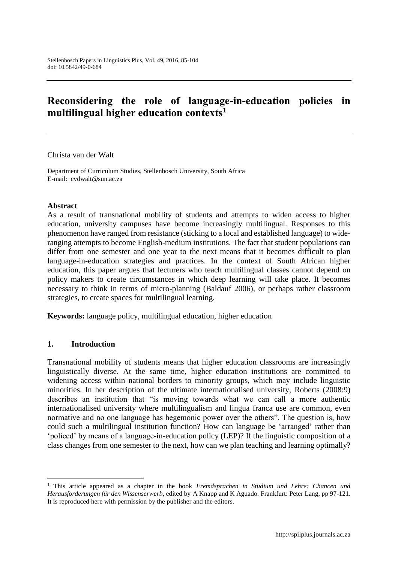# **Reconsidering the role of language-in-education policies in multilingual higher education contexts<sup>1</sup>**

Christa van der Walt

Department of Curriculum Studies, Stellenbosch University, South Africa E-mail: cvdwalt@sun.ac.za

#### **Abstract**

As a result of transnational mobility of students and attempts to widen access to higher education, university campuses have become increasingly multilingual. Responses to this phenomenon have ranged from resistance (sticking to a local and established language) to wideranging attempts to become English-medium institutions. The fact that student populations can differ from one semester and one year to the next means that it becomes difficult to plan language-in-education strategies and practices. In the context of South African higher education, this paper argues that lecturers who teach multilingual classes cannot depend on policy makers to create circumstances in which deep learning will take place. It becomes necessary to think in terms of micro-planning (Baldauf 2006), or perhaps rather classroom strategies, to create spaces for multilingual learning.

**Keywords:** language policy, multilingual education, higher education

#### **1. Introduction**

 $\overline{a}$ 

Transnational mobility of students means that higher education classrooms are increasingly linguistically diverse. At the same time, higher education institutions are committed to widening access within national borders to minority groups, which may include linguistic minorities. In her description of the ultimate internationalised university, Roberts (2008:9) describes an institution that "is moving towards what we can call a more authentic internationalised university where multilingualism and lingua franca use are common, even normative and no one language has hegemonic power over the others". The question is, how could such a multilingual institution function? How can language be 'arranged' rather than 'policed' by means of a language-in-education policy (LEP)? If the linguistic composition of a class changes from one semester to the next, how can we plan teaching and learning optimally?

<sup>1</sup> This article appeared as a chapter in the book *Fremdsprachen in Studium und Lehre: Chancen und Herausforderungen für den Wissenserwerb,* edited by A Knapp and K Aguado*.* Frankfurt: Peter Lang, pp 97-121. It is reproduced here with permission by the publisher and the editors.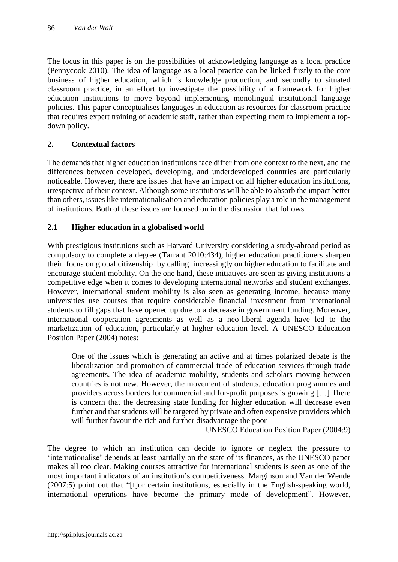The focus in this paper is on the possibilities of acknowledging language as a local practice (Pennycook 2010). The idea of language as a local practice can be linked firstly to the core business of higher education, which is knowledge production, and secondly to situated classroom practice, in an effort to investigate the possibility of a framework for higher education institutions to move beyond implementing monolingual institutional language policies. This paper conceptualises languages in education as resources for classroom practice that requires expert training of academic staff, rather than expecting them to implement a topdown policy.

## **2. Contextual factors**

The demands that higher education institutions face differ from one context to the next, and the differences between developed, developing, and underdeveloped countries are particularly noticeable. However, there are issues that have an impact on all higher education institutions, irrespective of their context. Although some institutions will be able to absorb the impact better than others, issues like internationalisation and education policies play a role in the management of institutions. Both of these issues are focused on in the discussion that follows.

## **2.1 Higher education in a globalised world**

With prestigious institutions such as Harvard University considering a study-abroad period as compulsory to complete a degree (Tarrant 2010:434), higher education practitioners sharpen their focus on global citizenship by calling increasingly on higher education to facilitate and encourage student mobility. On the one hand, these initiatives are seen as giving institutions a competitive edge when it comes to developing international networks and student exchanges. However, international student mobility is also seen as generating income, because many universities use courses that require considerable financial investment from international students to fill gaps that have opened up due to a decrease in government funding. Moreover, international cooperation agreements as well as a neo-liberal agenda have led to the marketization of education, particularly at higher education level. A UNESCO Education Position Paper (2004) notes:

One of the issues which is generating an active and at times polarized debate is the liberalization and promotion of commercial trade of education services through trade agreements. The idea of academic mobility, students and scholars moving between countries is not new. However, the movement of students, education programmes and providers across borders for commercial and for-profit purposes is growing […] There is concern that the decreasing state funding for higher education will decrease even further and that students will be targeted by private and often expensive providers which will further favour the rich and further disadvantage the poor

UNESCO Education Position Paper (2004:9)

The degree to which an institution can decide to ignore or neglect the pressure to 'internationalise' depends at least partially on the state of its finances, as the UNESCO paper makes all too clear. Making courses attractive for international students is seen as one of the most important indicators of an institution's competitiveness. Marginson and Van der Wende (2007:5) point out that "[f]or certain institutions, especially in the English-speaking world, international operations have become the primary mode of development". However,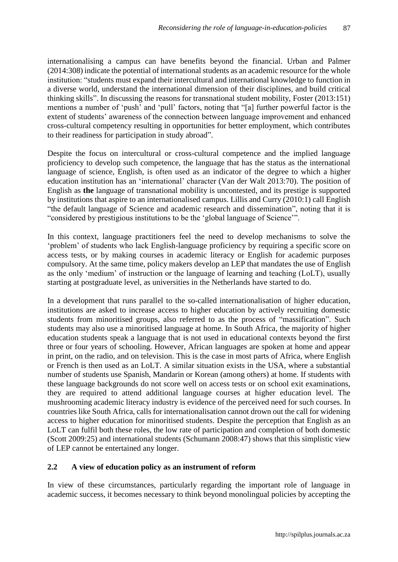internationalising a campus can have benefits beyond the financial. Urban and Palmer (2014:308) indicate the potential of international students as an academic resource for the whole institution: "students must expand their intercultural and international knowledge to function in a diverse world, understand the international dimension of their disciplines, and build critical thinking skills". In discussing the reasons for transnational student mobility, Foster (2013:151) mentions a number of 'push' and 'pull' factors, noting that "[a] further powerful factor is the extent of students' awareness of the connection between language improvement and enhanced cross-cultural competency resulting in opportunities for better employment, which contributes to their readiness for participation in study abroad".

Despite the focus on intercultural or cross-cultural competence and the implied language proficiency to develop such competence, the language that has the status as the international language of science, English, is often used as an indicator of the degree to which a higher education institution has an 'international' character (Van der Walt 2013:70). The position of English as **the** language of transnational mobility is uncontested, and its prestige is supported by institutions that aspire to an internationalised campus. Lillis and Curry (2010:1) call English "the default language of Science and academic research and dissemination", noting that it is "considered by prestigious institutions to be the 'global language of Science'".

In this context, language practitioners feel the need to develop mechanisms to solve the 'problem' of students who lack English-language proficiency by requiring a specific score on access tests, or by making courses in academic literacy or English for academic purposes compulsory. At the same time, policy makers develop an LEP that mandates the use of English as the only 'medium' of instruction or the language of learning and teaching (LoLT), usually starting at postgraduate level, as universities in the Netherlands have started to do.

In a development that runs parallel to the so-called internationalisation of higher education, institutions are asked to increase access to higher education by actively recruiting domestic students from minoritised groups, also referred to as the process of "massification". Such students may also use a minoritised language at home. In South Africa, the majority of higher education students speak a language that is not used in educational contexts beyond the first three or four years of schooling. However, African languages are spoken at home and appear in print, on the radio, and on television. This is the case in most parts of Africa, where English or French is then used as an LoLT. A similar situation exists in the USA, where a substantial number of students use Spanish, Mandarin or Korean (among others) at home. If students with these language backgrounds do not score well on access tests or on school exit examinations, they are required to attend additional language courses at higher education level. The mushrooming academic literacy industry is evidence of the perceived need for such courses. In countries like South Africa, calls for internationalisation cannot drown out the call for widening access to higher education for minoritised students. Despite the perception that English as an LoLT can fulfil both these roles, the low rate of participation and completion of both domestic (Scott 2009:25) and international students (Schumann 2008:47) shows that this simplistic view of LEP cannot be entertained any longer.

### **2.2 A view of education policy as an instrument of reform**

In view of these circumstances, particularly regarding the important role of language in academic success, it becomes necessary to think beyond monolingual policies by accepting the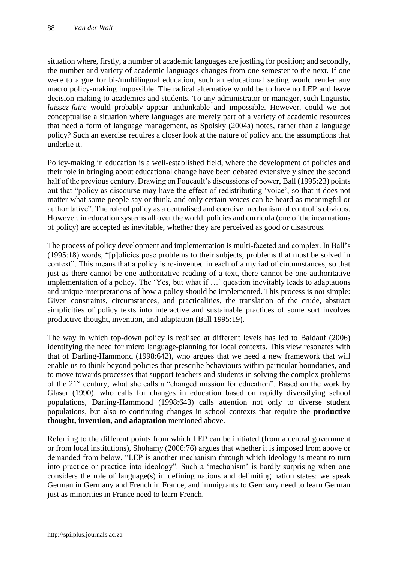situation where, firstly, a number of academic languages are jostling for position; and secondly, the number and variety of academic languages changes from one semester to the next. If one were to argue for bi-/multilingual education, such an educational setting would render any macro policy-making impossible. The radical alternative would be to have no LEP and leave decision-making to academics and students. To any administrator or manager, such linguistic *laissez-faire* would probably appear unthinkable and impossible. However, could we not conceptualise a situation where languages are merely part of a variety of academic resources that need a form of language management, as Spolsky (2004a) notes, rather than a language policy? Such an exercise requires a closer look at the nature of policy and the assumptions that underlie it.

Policy-making in education is a well-established field, where the development of policies and their role in bringing about educational change have been debated extensively since the second half of the previous century. Drawing on Foucault's discussions of power, Ball (1995:23) points out that "policy as discourse may have the effect of redistributing 'voice', so that it does not matter what some people say or think, and only certain voices can be heard as meaningful or authoritative". The role of policy as a centralised and coercive mechanism of control is obvious. However, in education systems all over the world, policies and curricula (one of the incarnations of policy) are accepted as inevitable, whether they are perceived as good or disastrous.

The process of policy development and implementation is multi-faceted and complex. In Ball's (1995:18) words, "[p]olicies pose problems to their subjects, problems that must be solved in context". This means that a policy is re-invented in each of a myriad of circumstances, so that just as there cannot be one authoritative reading of a text, there cannot be one authoritative implementation of a policy. The 'Yes, but what if …' question inevitably leads to adaptations and unique interpretations of how a policy should be implemented. This process is not simple: Given constraints, circumstances, and practicalities, the translation of the crude, abstract simplicities of policy texts into interactive and sustainable practices of some sort involves productive thought, invention, and adaptation (Ball 1995:19).

The way in which top-down policy is realised at different levels has led to Baldauf (2006) identifying the need for micro language-planning for local contexts. This view resonates with that of Darling-Hammond (1998:642), who argues that we need a new framework that will enable us to think beyond policies that prescribe behaviours within particular boundaries, and to move towards processes that support teachers and students in solving the complex problems of the 21st century; what she calls a "changed mission for education". Based on the work by Glaser (1990), who calls for changes in education based on rapidly diversifying school populations, Darling-Hammond (1998:643) calls attention not only to diverse student populations, but also to continuing changes in school contexts that require the **productive thought, invention, and adaptation** mentioned above.

Referring to the different points from which LEP can be initiated (from a central government or from local institutions), Shohamy (2006:76) argues that whether it is imposed from above or demanded from below, "LEP is another mechanism through which ideology is meant to turn into practice or practice into ideology". Such a 'mechanism' is hardly surprising when one considers the role of language(s) in defining nations and delimiting nation states: we speak German in Germany and French in France, and immigrants to Germany need to learn German just as minorities in France need to learn French.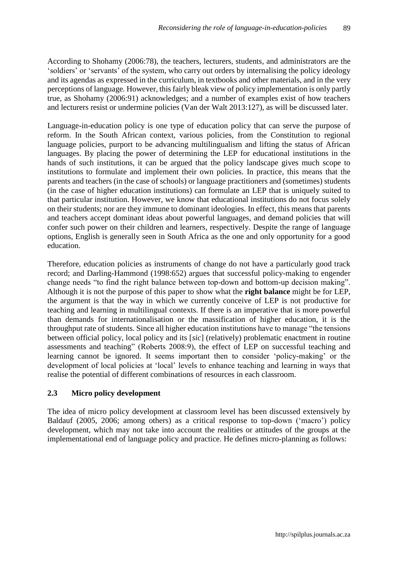According to Shohamy (2006:78), the teachers, lecturers, students, and administrators are the 'soldiers' or 'servants' of the system, who carry out orders by internalising the policy ideology and its agendas as expressed in the curriculum, in textbooks and other materials, and in the very perceptions of language. However, this fairly bleak view of policy implementation is only partly true, as Shohamy (2006:91) acknowledges; and a number of examples exist of how teachers and lecturers resist or undermine policies (Van der Walt 2013:127), as will be discussed later.

Language-in-education policy is one type of education policy that can serve the purpose of reform. In the South African context, various policies, from the Constitution to regional language policies, purport to be advancing multilingualism and lifting the status of African languages. By placing the power of determining the LEP for educational institutions in the hands of such institutions, it can be argued that the policy landscape gives much scope to institutions to formulate and implement their own policies. In practice, this means that the parents and teachers (in the case of schools) or language practitioners and (sometimes) students (in the case of higher education institutions) can formulate an LEP that is uniquely suited to that particular institution. However, we know that educational institutions do not focus solely on their students; nor are they immune to dominant ideologies. In effect, this means that parents and teachers accept dominant ideas about powerful languages, and demand policies that will confer such power on their children and learners, respectively. Despite the range of language options, English is generally seen in South Africa as the one and only opportunity for a good education.

Therefore, education policies as instruments of change do not have a particularly good track record; and Darling-Hammond (1998:652) argues that successful policy-making to engender change needs "to find the right balance between top-down and bottom-up decision making". Although it is not the purpose of this paper to show what the **right balance** might be for LEP, the argument is that the way in which we currently conceive of LEP is not productive for teaching and learning in multilingual contexts. If there is an imperative that is more powerful than demands for internationalisation or the massification of higher education, it is the throughput rate of students. Since all higher education institutions have to manage "the tensions between official policy, local policy and its [*sic*] (relatively) problematic enactment in routine assessments and teaching" (Roberts 2008:9), the effect of LEP on successful teaching and learning cannot be ignored. It seems important then to consider 'policy-making' or the development of local policies at 'local' levels to enhance teaching and learning in ways that realise the potential of different combinations of resources in each classroom.

### **2.3 Micro policy development**

The idea of micro policy development at classroom level has been discussed extensively by Baldauf (2005, 2006; among others) as a critical response to top-down ('macro') policy development, which may not take into account the realities or attitudes of the groups at the implementational end of language policy and practice. He defines micro-planning as follows: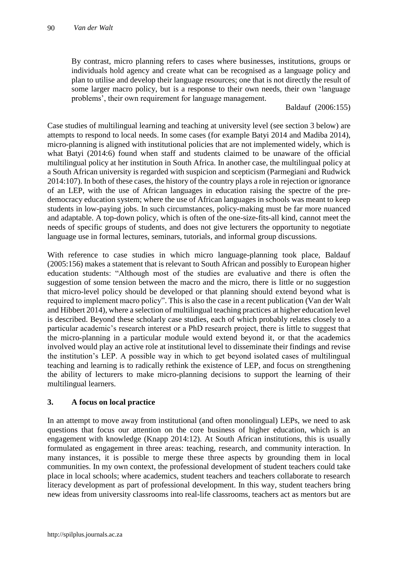By contrast, micro planning refers to cases where businesses, institutions, groups or individuals hold agency and create what can be recognised as a language policy and plan to utilise and develop their language resources; one that is not directly the result of some larger macro policy, but is a response to their own needs, their own 'language problems', their own requirement for language management.

Baldauf (2006:155)

Case studies of multilingual learning and teaching at university level (see section 3 below) are attempts to respond to local needs. In some cases (for example Batyi 2014 and Madiba 2014), micro-planning is aligned with institutional policies that are not implemented widely, which is what Batyi (2014:6) found when staff and students claimed to be unaware of the official multilingual policy at her institution in South Africa. In another case, the multilingual policy at a South African university is regarded with suspicion and scepticism (Parmegiani and Rudwick 2014:107). In both of these cases, the history of the country plays a role in rejection or ignorance of an LEP, with the use of African languages in education raising the spectre of the predemocracy education system; where the use of African languages in schools was meant to keep students in low-paying jobs. In such circumstances, policy-making must be far more nuanced and adaptable. A top-down policy, which is often of the one-size-fits-all kind, cannot meet the needs of specific groups of students, and does not give lecturers the opportunity to negotiate language use in formal lectures, seminars, tutorials, and informal group discussions.

With reference to case studies in which micro language-planning took place, Baldauf (2005:156) makes a statement that is relevant to South African and possibly to European higher education students: "Although most of the studies are evaluative and there is often the suggestion of some tension between the macro and the micro, there is little or no suggestion that micro-level policy should be developed or that planning should extend beyond what is required to implement macro policy". This is also the case in a recent publication (Van der Walt and Hibbert 2014), where a selection of multilingual teaching practices at higher education level is described. Beyond these scholarly case studies, each of which probably relates closely to a particular academic's research interest or a PhD research project, there is little to suggest that the micro-planning in a particular module would extend beyond it, or that the academics involved would play an active role at institutional level to disseminate their findings and revise the institution's LEP. A possible way in which to get beyond isolated cases of multilingual teaching and learning is to radically rethink the existence of LEP, and focus on strengthening the ability of lecturers to make micro-planning decisions to support the learning of their multilingual learners.

### **3. A focus on local practice**

In an attempt to move away from institutional (and often monolingual) LEPs, we need to ask questions that focus our attention on the core business of higher education, which is an engagement with knowledge (Knapp 2014:12). At South African institutions, this is usually formulated as engagement in three areas: teaching, research, and community interaction. In many instances, it is possible to merge these three aspects by grounding them in local communities. In my own context, the professional development of student teachers could take place in local schools; where academics, student teachers and teachers collaborate to research literacy development as part of professional development. In this way, student teachers bring new ideas from university classrooms into real-life classrooms, teachers act as mentors but are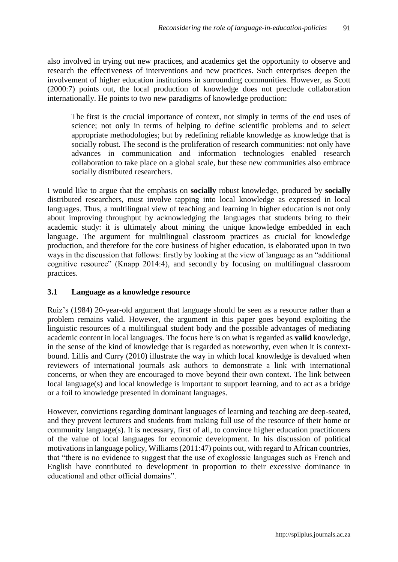also involved in trying out new practices, and academics get the opportunity to observe and research the effectiveness of interventions and new practices. Such enterprises deepen the involvement of higher education institutions in surrounding communities. However, as Scott (2000:7) points out, the local production of knowledge does not preclude collaboration internationally. He points to two new paradigms of knowledge production:

The first is the crucial importance of context, not simply in terms of the end uses of science; not only in terms of helping to define scientific problems and to select appropriate methodologies; but by redefining reliable knowledge as knowledge that is socially robust. The second is the proliferation of research communities: not only have advances in communication and information technologies enabled research collaboration to take place on a global scale, but these new communities also embrace socially distributed researchers.

I would like to argue that the emphasis on **socially** robust knowledge, produced by **socially** distributed researchers, must involve tapping into local knowledge as expressed in local languages. Thus, a multilingual view of teaching and learning in higher education is not only about improving throughput by acknowledging the languages that students bring to their academic study: it is ultimately about mining the unique knowledge embedded in each language. The argument for multilingual classroom practices as crucial for knowledge production, and therefore for the core business of higher education, is elaborated upon in two ways in the discussion that follows: firstly by looking at the view of language as an "additional cognitive resource" (Knapp 2014:4), and secondly by focusing on multilingual classroom practices.

### **3.1 Language as a knowledge resource**

Ruiz's (1984) 20-year-old argument that language should be seen as a resource rather than a problem remains valid. However, the argument in this paper goes beyond exploiting the linguistic resources of a multilingual student body and the possible advantages of mediating academic content in local languages. The focus here is on what is regarded as **valid** knowledge, in the sense of the kind of knowledge that is regarded as noteworthy, even when it is contextbound. Lillis and Curry (2010) illustrate the way in which local knowledge is devalued when reviewers of international journals ask authors to demonstrate a link with international concerns, or when they are encouraged to move beyond their own context. The link between local language(s) and local knowledge is important to support learning, and to act as a bridge or a foil to knowledge presented in dominant languages.

However, convictions regarding dominant languages of learning and teaching are deep-seated, and they prevent lecturers and students from making full use of the resource of their home or community language(s). It is necessary, first of all, to convince higher education practitioners of the value of local languages for economic development. In his discussion of political motivations in language policy, Williams (2011:47) points out, with regard to African countries, that "there is no evidence to suggest that the use of exoglossic languages such as French and English have contributed to development in proportion to their excessive dominance in educational and other official domains".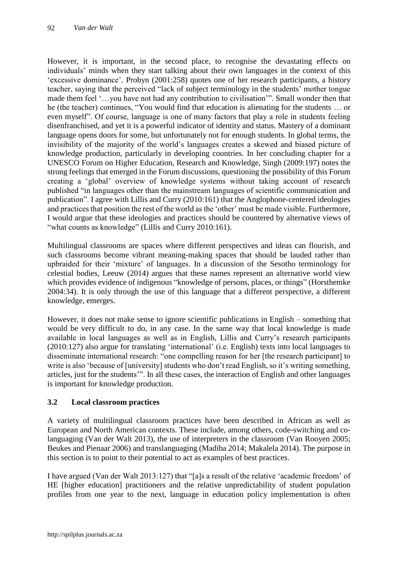However, it is important, in the second place, to recognise the devastating effects on individuals' minds when they start talking about their own languages in the context of this 'excessive dominance'. Probyn (2001:258) quotes one of her research participants, a history teacher, saying that the perceived "lack of subject terminology in the students' mother tongue made them feel '…you have not had any contribution to civilisation'". Small wonder then that he (the teacher) continues, "You would find that education is alienating for the students … or even myself". Of course, language is one of many factors that play a role in students feeling disenfranchised, and yet it is a powerful indicator of identity and status. Mastery of a dominant language opens doors for some, but unfortunately not for enough students. In global terms, the invisibility of the majority of the world's languages creates a skewed and biased picture of knowledge production, particularly in developing countries. In her concluding chapter for a UNESCO Forum on Higher Education, Research and Knowledge, Singh (2009:197) notes the strong feelings that emerged in the Forum discussions, questioning the possibility of this Forum creating a 'global' overview of knowledge systems without taking account of research published "in languages other than the mainstream languages of scientific communication and publication". I agree with Lillis and Curry (2010:161) that the Anglophone-centered ideologies and practices that position the rest of the world as the 'other' must be made visible. Furthermore, I would argue that these ideologies and practices should be countered by alternative views of "what counts as knowledge" (Lillis and Curry 2010:161).

Multilingual classrooms are spaces where different perspectives and ideas can flourish, and such classrooms become vibrant meaning-making spaces that should be lauded rather than upbraided for their 'mixture' of languages. In a discussion of the Sesotho terminology for celestial bodies, Leeuw (2014) argues that these names represent an alternative world view which provides evidence of indigenous "knowledge of persons, places, or things" (Horsthemke 2004:34). It is only through the use of this language that a different perspective, a different knowledge, emerges.

However, it does not make sense to ignore scientific publications in English – something that would be very difficult to do, in any case. In the same way that local knowledge is made available in local languages as well as in English, Lillis and Curry's research participants (2010:127) also argue for translating 'international' (i.e. English) texts into local languages to disseminate international research: "one compelling reason for her [the research participant] to write is also 'because of [university] students who don't read English, so it's writing something, articles, just for the students'". In all these cases, the interaction of English and other languages is important for knowledge production.

# **3.2 Local classroom practices**

A variety of multilingual classroom practices have been described in African as well as European and North American contexts. These include, among others, code-switching and colanguaging (Van der Walt 2013), the use of interpreters in the classroom (Van Rooyen 2005; Beukes and Pienaar 2006) and translanguaging (Madiba 2014; Makalela 2014). The purpose in this section is to point to their potential to act as examples of best practices.

I have argued (Van der Walt 2013:127) that "[a]s a result of the relative 'academic freedom' of HE [higher education] practitioners and the relative unpredictability of student population profiles from one year to the next, language in education policy implementation is often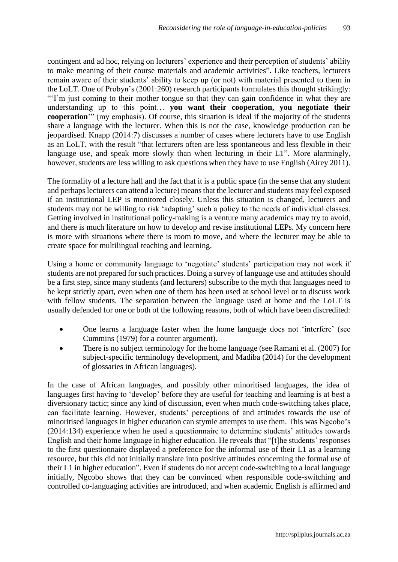contingent and ad hoc, relying on lecturers' experience and their perception of students' ability to make meaning of their course materials and academic activities". Like teachers, lecturers remain aware of their students' ability to keep up (or not) with material presented to them in the LoLT. One of Probyn's (2001:260) research participants formulates this thought strikingly: "'I'm just coming to their mother tongue so that they can gain confidence in what they are understanding up to this point… **you want their cooperation, you negotiate their cooperation**'" (my emphasis). Of course, this situation is ideal if the majority of the students share a language with the lecturer. When this is not the case, knowledge production can be jeopardised. Knapp (2014:7) discusses a number of cases where lecturers have to use English as an LoLT, with the result "that lecturers often are less spontaneous and less flexible in their language use, and speak more slowly than when lecturing in their L1". More alarmingly, however, students are less willing to ask questions when they have to use English (Airey 2011).

The formality of a lecture hall and the fact that it is a public space (in the sense that any student and perhaps lecturers can attend a lecture) means that the lecturer and students may feel exposed if an institutional LEP is monitored closely. Unless this situation is changed, lecturers and students may not be willing to risk 'adapting' such a policy to the needs of individual classes. Getting involved in institutional policy-making is a venture many academics may try to avoid, and there is much literature on how to develop and revise institutional LEPs. My concern here is more with situations where there is room to move, and where the lecturer may be able to create space for multilingual teaching and learning.

Using a home or community language to 'negotiate' students' participation may not work if students are not prepared for such practices. Doing a survey of language use and attitudes should be a first step, since many students (and lecturers) subscribe to the myth that languages need to be kept strictly apart, even when one of them has been used at school level or to discuss work with fellow students. The separation between the language used at home and the LoLT is usually defended for one or both of the following reasons, both of which have been discredited:

- One learns a language faster when the home language does not 'interfere' (see Cummins (1979) for a counter argument).
- There is no subject terminology for the home language (see Ramani et al. (2007) for subject-specific terminology development, and Madiba (2014) for the development of glossaries in African languages).

In the case of African languages, and possibly other minoritised languages, the idea of languages first having to 'develop' before they are useful for teaching and learning is at best a diversionary tactic; since any kind of discussion, even when much code-switching takes place, can facilitate learning. However, students' perceptions of and attitudes towards the use of minoritised languages in higher education can stymie attempts to use them. This was Ngcobo's (2014:134) experience when he used a questionnaire to determine students' attitudes towards English and their home language in higher education. He reveals that "[t]he students' responses to the first questionnaire displayed a preference for the informal use of their L1 as a learning resource, but this did not initially translate into positive attitudes concerning the formal use of their L1 in higher education". Even if students do not accept code-switching to a local language initially, Ngcobo shows that they can be convinced when responsible code-switching and controlled co-languaging activities are introduced, and when academic English is affirmed and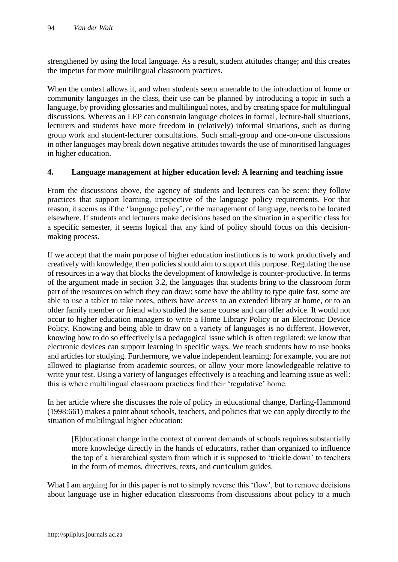strengthened by using the local language. As a result, student attitudes change; and this creates the impetus for more multilingual classroom practices.

When the context allows it, and when students seem amenable to the introduction of home or community languages in the class, their use can be planned by introducing a topic in such a language, by providing glossaries and multilingual notes, and by creating space for multilingual discussions. Whereas an LEP can constrain language choices in formal, lecture-hall situations, lecturers and students have more freedom in (relatively) informal situations, such as during group work and student-lecturer consultations. Such small-group and one-on-one discussions in other languages may break down negative attitudes towards the use of minoritised languages in higher education.

#### **4. Language management at higher education level: A learning and teaching issue**

From the discussions above, the agency of students and lecturers can be seen: they follow practices that support learning, irrespective of the language policy requirements. For that reason, it seems as if the 'language policy', or the management of language, needs to be located elsewhere. If students and lecturers make decisions based on the situation in a specific class for a specific semester, it seems logical that any kind of policy should focus on this decisionmaking process.

If we accept that the main purpose of higher education institutions is to work productively and creatively with knowledge, then policies should aim to support this purpose. Regulating the use of resources in a way that blocks the development of knowledge is counter-productive. In terms of the argument made in section 3.2, the languages that students bring to the classroom form part of the resources on which they can draw: some have the ability to type quite fast, some are able to use a tablet to take notes, others have access to an extended library at home, or to an older family member or friend who studied the same course and can offer advice. It would not occur to higher education managers to write a Home Library Policy or an Electronic Device Policy. Knowing and being able to draw on a variety of languages is no different. However, knowing how to do so effectively is a pedagogical issue which is often regulated: we know that electronic devices can support learning in specific ways. We teach students how to use books and articles for studying. Furthermore, we value independent learning; for example, you are not allowed to plagiarise from academic sources, or allow your more knowledgeable relative to write your test. Using a variety of languages effectively is a teaching and learning issue as well: this is where multilingual classroom practices find their 'regulative' home.

In her article where she discusses the role of policy in educational change*,* Darling-Hammond (1998:661) makes a point about schools, teachers, and policies that we can apply directly to the situation of multilingual higher education:

[E]ducational change in the context of current demands of schools requires substantially more knowledge directly in the hands of educators, rather than organized to influence the top of a hierarchical system from which it is supposed to 'trickle down' to teachers in the form of memos, directives, texts, and curriculum guides.

What I am arguing for in this paper is not to simply reverse this 'flow', but to remove decisions about language use in higher education classrooms from discussions about policy to a much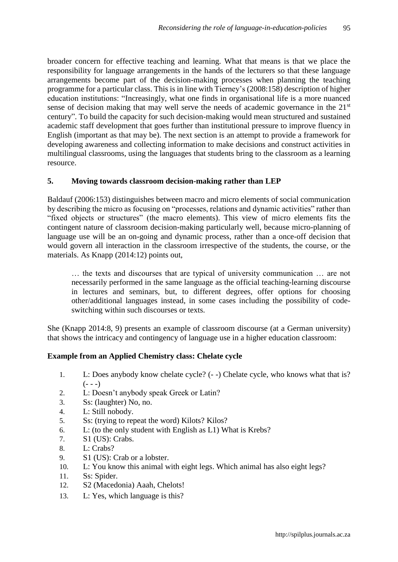broader concern for effective teaching and learning. What that means is that we place the responsibility for language arrangements in the hands of the lecturers so that these language arrangements become part of the decision-making processes when planning the teaching programme for a particular class. This is in line with Tierney's (2008:158) description of higher education institutions: "Increasingly, what one finds in organisational life is a more nuanced sense of decision making that may well serve the needs of academic governance in the 21<sup>st</sup> century". To build the capacity for such decision-making would mean structured and sustained academic staff development that goes further than institutional pressure to improve fluency in English (important as that may be). The next section is an attempt to provide a framework for developing awareness and collecting information to make decisions and construct activities in multilingual classrooms, using the languages that students bring to the classroom as a learning resource.

### **5. Moving towards classroom decision-making rather than LEP**

Baldauf (2006:153) distinguishes between macro and micro elements of social communication by describing the micro as focusing on "processes, relations and dynamic activities" rather than "fixed objects or structures" (the macro elements). This view of micro elements fits the contingent nature of classroom decision-making particularly well, because micro-planning of language use will be an on-going and dynamic process, rather than a once-off decision that would govern all interaction in the classroom irrespective of the students, the course, or the materials. As Knapp (2014:12) points out,

… the texts and discourses that are typical of university communication … are not necessarily performed in the same language as the official teaching-learning discourse in lectures and seminars, but, to different degrees, offer options for choosing other/additional languages instead, in some cases including the possibility of codeswitching within such discourses or texts.

She (Knapp 2014:8, 9) presents an example of classroom discourse (at a German university) that shows the intricacy and contingency of language use in a higher education classroom:

#### **Example from an Applied Chemistry class: Chelate cycle**

- 1. L: Does anybody know chelate cycle? (- -) Chelate cycle, who knows what that is?  $(- - -)$
- 2. L: Doesn't anybody speak Greek or Latin?
- 3. Ss: (laughter) No, no.
- 4. L: Still nobody.
- 5. Ss: (trying to repeat the word) Kilots? Kilos?
- 6. L: (to the only student with English as L1) What is Krebs?
- 7. S1 (US): Crabs.
- 8. L: Crabs?
- 9. S1 (US): Crab or a lobster.
- 10. L: You know this animal with eight legs. Which animal has also eight legs?
- 11. Ss: Spider.
- 12. S2 (Macedonia) Aaah, Chelots!
- 13. L: Yes, which language is this?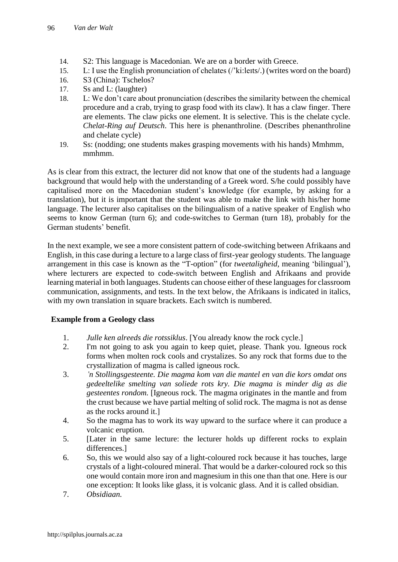- 14. S2: This language is Macedonian. We are on a border with Greece.
- 15. L: I use the English pronunciation of chelates (/'ki:leɪts/.) (writes word on the board)
- 16. S3 (China): Tschelos?
- 17. Ss and L: (laughter)
- 18. L: We don't care about pronunciation (describes the similarity between the chemical procedure and a crab, trying to grasp food with its claw). It has a claw finger. There are elements. The claw picks one element. It is selective. This is the chelate cycle. *Chelat-Ring auf Deutsch*. This here is phenanthroline. (Describes phenanthroline and chelate cycle)
- 19. Ss: (nodding; one students makes grasping movements with his hands) Mmhmm, mmhmm.

As is clear from this extract, the lecturer did not know that one of the students had a language background that would help with the understanding of a Greek word. S/he could possibly have capitalised more on the Macedonian student's knowledge (for example, by asking for a translation), but it is important that the student was able to make the link with his/her home language. The lecturer also capitalises on the bilingualism of a native speaker of English who seems to know German (turn 6); and code-switches to German (turn 18), probably for the German students' benefit.

In the next example, we see a more consistent pattern of code-switching between Afrikaans and English, in this case during a lecture to a large class of first-year geology students. The language arrangement in this case is known as the "T-option" (for *tweetaligheid*, meaning 'bilingual'), where lecturers are expected to code-switch between English and Afrikaans and provide learning material in both languages. Students can choose either of these languages for classroom communication, assignments, and tests. In the text below, the Afrikaans is indicated in italics, with my own translation in square brackets. Each switch is numbered.

### **Example from a Geology class**

- 1. *Julle ken alreeds die rotssiklus*. [You already know the rock cycle.]
- 2. I'm not going to ask you again to keep quiet, please. Thank you. Igneous rock forms when molten rock cools and crystalizes. So any rock that forms due to the crystallization of magma is called igneous rock.
- 3. *'n Stollingsgesteente. Die magma kom van die mantel en van die kors omdat ons gedeeltelike smelting van soliede rots kry. Die magma is minder dig as die gesteentes rondom.* [Igneous rock. The magma originates in the mantle and from the crust because we have partial melting of solid rock. The magma is not as dense as the rocks around it.]
- 4. So the magma has to work its way upward to the surface where it can produce a volcanic eruption.
- 5. [Later in the same lecture: the lecturer holds up different rocks to explain differences.]
- 6. So, this we would also say of a light-coloured rock because it has touches, large crystals of a light-coloured mineral. That would be a darker-coloured rock so this one would contain more iron and magnesium in this one than that one. Here is our one exception: It looks like glass, it is volcanic glass. And it is called obsidian.
- 7. *Obsidiaan.*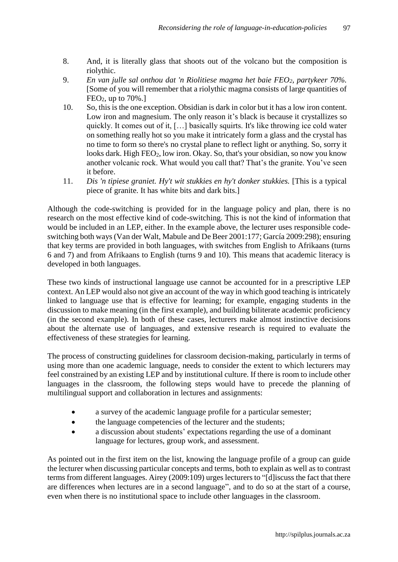- 8. And, it is literally glass that shoots out of the volcano but the composition is riolythic.
- 9. *En van julle sal onthou dat 'n Riolitiese magma het baie FEO2, partykeer 70%.* [Some of you will remember that a riolythic magma consists of large quantities of  $FEO<sub>2</sub>$ , up to 70%.]
- 10. So, this is the one exception. Obsidian is dark in color but it has a low iron content. Low iron and magnesium. The only reason it's black is because it crystallizes so quickly. It comes out of it, […] basically squirts. It's like throwing ice cold water on something really hot so you make it intricately form a glass and the crystal has no time to form so there's no crystal plane to reflect light or anything. So, sorry it looks dark. High FEO<sub>2</sub>, low iron. Okay. So, that's your obsidian, so now you know another volcanic rock. What would you call that? That's the granite. You've seen it before.
- 11. *Dis 'n tipiese graniet. Hy't wit stukkies en hy't donker stukkies.* [This is a typical piece of granite. It has white bits and dark bits.]

Although the code-switching is provided for in the language policy and plan, there is no research on the most effective kind of code-switching. This is not the kind of information that would be included in an LEP, either. In the example above, the lecturer uses responsible codeswitching both ways (Van der Walt, Mabule and De Beer 2001:177; García 2009:298); ensuring that key terms are provided in both languages, with switches from English to Afrikaans (turns 6 and 7) and from Afrikaans to English (turns 9 and 10). This means that academic literacy is developed in both languages.

These two kinds of instructional language use cannot be accounted for in a prescriptive LEP context. An LEP would also not give an account of the way in which good teaching is intricately linked to language use that is effective for learning; for example, engaging students in the discussion to make meaning (in the first example), and building biliterate academic proficiency (in the second example). In both of these cases, lecturers make almost instinctive decisions about the alternate use of languages, and extensive research is required to evaluate the effectiveness of these strategies for learning.

The process of constructing guidelines for classroom decision-making, particularly in terms of using more than one academic language, needs to consider the extent to which lecturers may feel constrained by an existing LEP and by institutional culture. If there is room to include other languages in the classroom, the following steps would have to precede the planning of multilingual support and collaboration in lectures and assignments:

- a survey of the academic language profile for a particular semester;
- the language competencies of the lecturer and the students:
- a discussion about students' expectations regarding the use of a dominant language for lectures, group work, and assessment.

As pointed out in the first item on the list, knowing the language profile of a group can guide the lecturer when discussing particular concepts and terms, both to explain as well as to contrast terms from different languages. Airey (2009:109) urges lecturers to "[d]iscuss the fact that there are differences when lectures are in a second language", and to do so at the start of a course, even when there is no institutional space to include other languages in the classroom.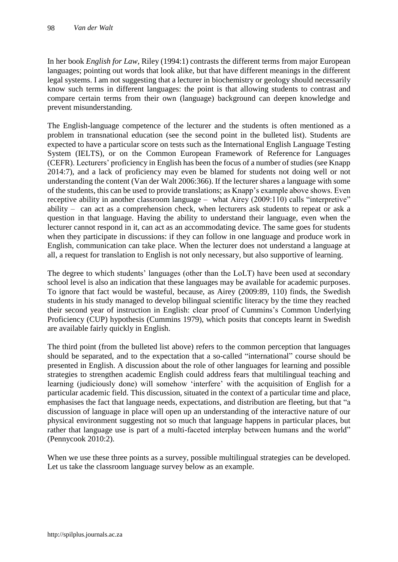In her book *English for Law*, Riley (1994:1) contrasts the different terms from major European languages; pointing out words that look alike, but that have different meanings in the different legal systems. I am not suggesting that a lecturer in biochemistry or geology should necessarily know such terms in different languages: the point is that allowing students to contrast and compare certain terms from their own (language) background can deepen knowledge and prevent misunderstanding.

The English-language competence of the lecturer and the students is often mentioned as a problem in transnational education (see the second point in the bulleted list). Students are expected to have a particular score on tests such as the International English Language Testing System (IELTS), or on the Common European Framework of Reference for Languages (CEFR). Lecturers' proficiency in English has been the focus of a number of studies (see Knapp 2014:7), and a lack of proficiency may even be blamed for students not doing well or not understanding the content (Van der Walt 2006:366). If the lecturer shares a language with some of the students, this can be used to provide translations; as Knapp's example above shows. Even receptive ability in another classroom language – what Airey (2009:110) calls "interpretive" ability – can act as a comprehension check, when lecturers ask students to repeat or ask a question in that language. Having the ability to understand their language, even when the lecturer cannot respond in it, can act as an accommodating device. The same goes for students when they participate in discussions: if they can follow in one language and produce work in English, communication can take place. When the lecturer does not understand a language at all, a request for translation to English is not only necessary, but also supportive of learning.

The degree to which students' languages (other than the LoLT) have been used at secondary school level is also an indication that these languages may be available for academic purposes. To ignore that fact would be wasteful, because, as Airey (2009:89, 110) finds, the Swedish students in his study managed to develop bilingual scientific literacy by the time they reached their second year of instruction in English: clear proof of Cummins's Common Underlying Proficiency (CUP) hypothesis (Cummins 1979), which posits that concepts learnt in Swedish are available fairly quickly in English.

The third point (from the bulleted list above) refers to the common perception that languages should be separated, and to the expectation that a so-called "international" course should be presented in English. A discussion about the role of other languages for learning and possible strategies to strengthen academic English could address fears that multilingual teaching and learning (judiciously done) will somehow 'interfere' with the acquisition of English for a particular academic field. This discussion, situated in the context of a particular time and place, emphasises the fact that language needs, expectations, and distribution are fleeting, but that "a discussion of language in place will open up an understanding of the interactive nature of our physical environment suggesting not so much that language happens in particular places, but rather that language use is part of a multi-faceted interplay between humans and the world" (Pennycook 2010:2).

When we use these three points as a survey, possible multilingual strategies can be developed. Let us take the classroom language survey below as an example.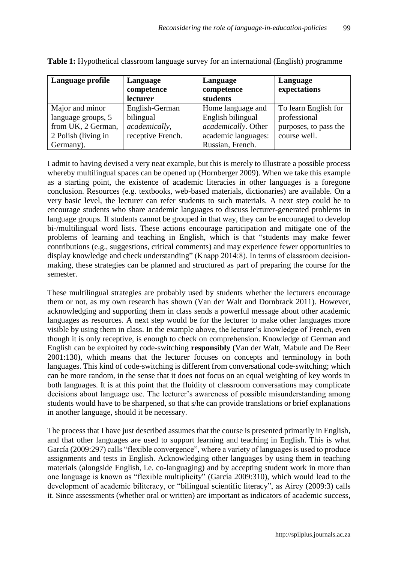| Language profile    | Language          | Language            | Language              |
|---------------------|-------------------|---------------------|-----------------------|
|                     | competence        | competence          | expectations          |
|                     | lecturer          | students            |                       |
| Major and minor     | English-German    | Home language and   | To learn English for  |
| language groups, 5  | bilingual         | English bilingual   | professional          |
| from UK, 2 German,  | academically,     | academically. Other | purposes, to pass the |
| 2 Polish (living in | receptive French. | academic languages: | course well.          |
| Germany).           |                   | Russian, French.    |                       |

**Table 1:** Hypothetical classroom language survey for an international (English) programme

I admit to having devised a very neat example, but this is merely to illustrate a possible process whereby multilingual spaces can be opened up (Hornberger 2009). When we take this example as a starting point, the existence of academic literacies in other languages is a foregone conclusion. Resources (e.g. textbooks, web-based materials, dictionaries) are available. On a very basic level, the lecturer can refer students to such materials. A next step could be to encourage students who share academic languages to discuss lecturer-generated problems in language groups. If students cannot be grouped in that way, they can be encouraged to develop bi-/multilingual word lists. These actions encourage participation and mitigate one of the problems of learning and teaching in English, which is that "students may make fewer contributions (e.g., suggestions, critical comments) and may experience fewer opportunities to display knowledge and check understanding" (Knapp 2014:8). In terms of classroom decisionmaking, these strategies can be planned and structured as part of preparing the course for the semester.

These multilingual strategies are probably used by students whether the lecturers encourage them or not, as my own research has shown (Van der Walt and Dornbrack 2011). However, acknowledging and supporting them in class sends a powerful message about other academic languages as resources. A next step would be for the lecturer to make other languages more visible by using them in class. In the example above, the lecturer's knowledge of French, even though it is only receptive, is enough to check on comprehension. Knowledge of German and English can be exploited by code-switching **responsibly** (Van der Walt, Mabule and De Beer 2001:130), which means that the lecturer focuses on concepts and terminology in both languages. This kind of code-switching is different from conversational code-switching; which can be more random, in the sense that it does not focus on an equal weighting of key words in both languages. It is at this point that the fluidity of classroom conversations may complicate decisions about language use. The lecturer's awareness of possible misunderstanding among students would have to be sharpened, so that s/he can provide translations or brief explanations in another language, should it be necessary.

The process that I have just described assumes that the course is presented primarily in English, and that other languages are used to support learning and teaching in English. This is what García (2009:297) calls "flexible convergence", where a variety of languages is used to produce assignments and tests in English. Acknowledging other languages by using them in teaching materials (alongside English, i.e. co-languaging) and by accepting student work in more than one language is known as "flexible multiplicity" (García 2009:310), which would lead to the development of academic biliteracy, or "bilingual scientific literacy", as Airey (2009:3) calls it. Since assessments (whether oral or written) are important as indicators of academic success,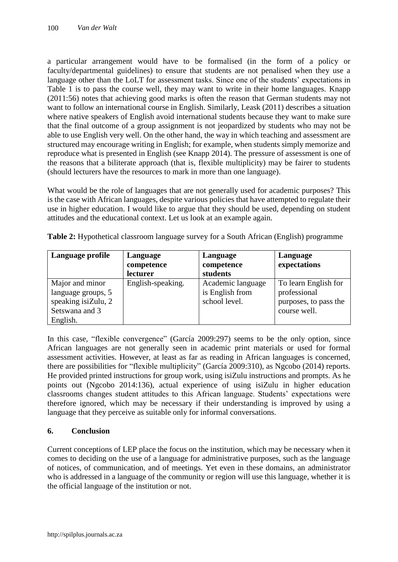a particular arrangement would have to be formalised (in the form of a policy or faculty/departmental guidelines) to ensure that students are not penalised when they use a language other than the LoLT for assessment tasks. Since one of the students' expectations in Table 1 is to pass the course well, they may want to write in their home languages. Knapp (2011:56) notes that achieving good marks is often the reason that German students may not want to follow an international course in English. Similarly, Leask (2011) describes a situation where native speakers of English avoid international students because they want to make sure that the final outcome of a group assignment is not jeopardized by students who may not be able to use English very well. On the other hand, the way in which teaching and assessment are structured may encourage writing in English; for example, when students simply memorize and reproduce what is presented in English (see Knapp 2014). The pressure of assessment is one of the reasons that a biliterate approach (that is, flexible multiplicity) may be fairer to students (should lecturers have the resources to mark in more than one language).

What would be the role of languages that are not generally used for academic purposes? This is the case with African languages, despite various policies that have attempted to regulate their use in higher education. I would like to argue that they should be used, depending on student attitudes and the educational context. Let us look at an example again.

| Language profile    | Language          | Language          | Language              |
|---------------------|-------------------|-------------------|-----------------------|
|                     | competence        | competence        | expectations          |
|                     | lecturer          | students          |                       |
| Major and minor     | English-speaking. | Academic language | To learn English for  |
| language groups, 5  |                   | is English from   | professional          |
| speaking isiZulu, 2 |                   | school level.     | purposes, to pass the |
| Setswana and 3      |                   |                   | course well.          |
| English.            |                   |                   |                       |

**Table 2:** Hypothetical classroom language survey for a South African (English) programme

In this case, "flexible convergence" (García 2009:297) seems to be the only option, since African languages are not generally seen in academic print materials or used for formal assessment activities. However, at least as far as reading in African languages is concerned, there are possibilities for "flexible multiplicity" (García 2009:310), as Ngcobo (2014) reports. He provided printed instructions for group work, using isiZulu instructions and prompts. As he points out (Ngcobo 2014:136), actual experience of using isiZulu in higher education classrooms changes student attitudes to this African language. Students' expectations were therefore ignored, which may be necessary if their understanding is improved by using a language that they perceive as suitable only for informal conversations.

# **6. Conclusion**

Current conceptions of LEP place the focus on the institution, which may be necessary when it comes to deciding on the use of a language for administrative purposes, such as the language of notices, of communication, and of meetings. Yet even in these domains, an administrator who is addressed in a language of the community or region will use this language, whether it is the official language of the institution or not.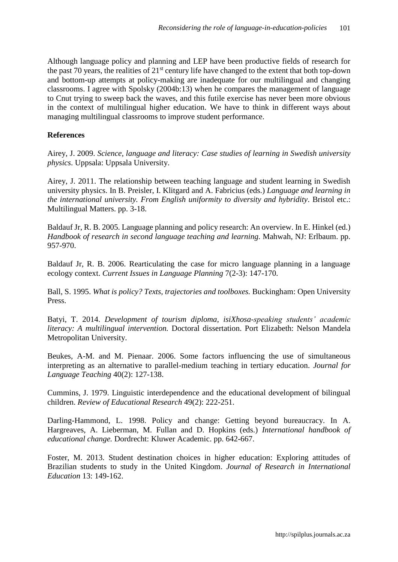Although language policy and planning and LEP have been productive fields of research for the past 70 years, the realities of 21st century life have changed to the extent that both top-down and bottom-up attempts at policy-making are inadequate for our multilingual and changing classrooms. I agree with Spolsky (2004b:13) when he compares the management of language to Cnut trying to sweep back the waves, and this futile exercise has never been more obvious in the context of multilingual higher education. We have to think in different ways about managing multilingual classrooms to improve student performance.

#### **References**

Airey, J. 2009. *Science, language and literacy: Case studies of learning in Swedish university physics*. Uppsala: Uppsala University.

Airey, J. 2011. The relationship between teaching language and student learning in Swedish university physics. In B. Preisler, I. Klitgard and A. Fabricius (eds.) *Language and learning in the international university. From English uniformity to diversity and hybridity*. Bristol etc.: Multilingual Matters. pp. 3-18.

Baldauf Jr, R. B. 2005. Language planning and policy research: An overview. In E. Hinkel (ed.) *Handbook of research in second language teaching and learning*. Mahwah, NJ: Erlbaum. pp. 957-970.

Baldauf Jr, R. B. 2006. Rearticulating the case for micro language planning in a language ecology context. *Current Issues in Language Planning* 7(2-3): 147-170.

Ball, S. 1995. *What is policy? Texts, trajectories and toolboxes.* Buckingham: Open University Press.

Batyi, T. 2014. *Development of tourism diploma, isiXhosa-speaking students' academic literacy: A multilingual intervention.* Doctoral dissertation. Port Elizabeth: Nelson Mandela Metropolitan University.

Beukes, A-M. and M. Pienaar. 2006. Some factors influencing the use of simultaneous interpreting as an alternative to parallel-medium teaching in tertiary education. *Journal for Language Teaching* 40(2): 127-138.

Cummins, J. 1979. Linguistic interdependence and the educational development of bilingual children. *Review of Educational Research* 49(2): 222-251.

Darling-Hammond, L. 1998. Policy and change: Getting beyond bureaucracy. In A. Hargreaves, A. Lieberman, M. Fullan and D. Hopkins (eds.) *International handbook of educational change.* Dordrecht: Kluwer Academic. pp. 642-667.

Foster, M. 2013. Student destination choices in higher education: Exploring attitudes of Brazilian students to study in the United Kingdom. *Journal of Research in International Education* 13: 149-162.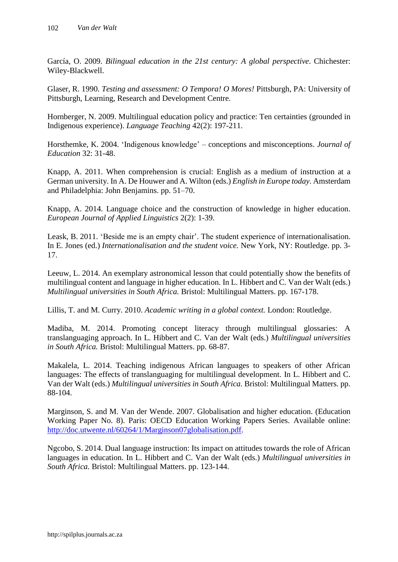García, O. 2009. *Bilingual education in the 21st century: A global perspective*. Chichester: Wiley-Blackwell.

Glaser, R. 1990. *Testing and assessment: O Tempora! O Mores!* Pittsburgh, PA: University of Pittsburgh, Learning, Research and Development Centre.

Hornberger, N. 2009. Multilingual education policy and practice: Ten certainties (grounded in Indigenous experience). *Language Teaching* 42(2): 197-211.

Horsthemke, K. 2004. 'Indigenous knowledge' – conceptions and misconceptions. *Journal of Education* 32: 31-48.

Knapp, A. 2011. When comprehension is crucial: English as a medium of instruction at a German university. In A. De Houwer and A. Wilton (eds.) *English in Europe today*. Amsterdam and Philadelphia: John Benjamins. pp. 51–70.

Knapp, A. 2014. Language choice and the construction of knowledge in higher education. *European Journal of Applied Linguistics* 2(2): 1-39.

Leask, B. 2011. 'Beside me is an empty chair'. The student experience of internationalisation. In E. Jones (ed.) *Internationalisation and the student voice*. New York, NY: Routledge. pp. 3-17.

Leeuw, L. 2014. An exemplary astronomical lesson that could potentially show the benefits of multilingual content and language in higher education. In L. Hibbert and C. Van der Walt (eds.) *Multilingual universities in South Africa.* Bristol: Multilingual Matters. pp. 167-178.

Lillis, T. and M. Curry. 2010. *Academic writing in a global context.* London: Routledge.

Madiba, M. 2014. Promoting concept literacy through multilingual glossaries: A translanguaging approach. In L. Hibbert and C. Van der Walt (eds.) *Multilingual universities in South Africa.* Bristol: Multilingual Matters. pp. 68-87.

Makalela, L. 2014. Teaching indigenous African languages to speakers of other African languages: The effects of translanguaging for multilingual development. In L. Hibbert and C. Van der Walt (eds.) *Multilingual universities in South Africa.* Bristol: Multilingual Matters. pp. 88-104.

Marginson, S. and M. Van der Wende. 2007. Globalisation and higher education. (Education Working Paper No. 8). Paris: OECD Education Working Papers Series. Available online: [http://doc.utwente.nl/60264/1/Marginson07globalisation.pdf.](http://doc.utwente.nl/60264/1/Marginson07globalisation.pdf)

Ngcobo, S. 2014. Dual language instruction: Its impact on attitudes towards the role of African languages in education. In L. Hibbert and C. Van der Walt (eds.) *Multilingual universities in South Africa.* Bristol: Multilingual Matters. pp. 123-144.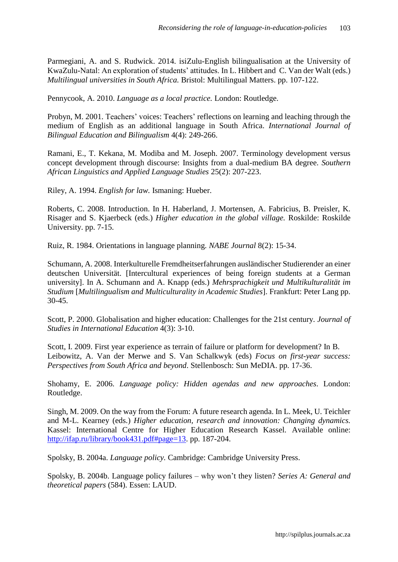Parmegiani, A. and S. Rudwick. 2014. isiZulu-English bilingualisation at the University of KwaZulu-Natal: An exploration of students' attitudes. In L. Hibbert and C. Van der Walt (eds.) *Multilingual universities in South Africa.* Bristol: Multilingual Matters. pp. 107-122.

Pennycook, A. 2010. *Language as a local practice.* London: Routledge.

Probyn, M. 2001. Teachers' voices: Teachers' reflections on learning and leaching through the medium of English as an additional language in South Africa. *International Journal of Bilingual Education and Bilingualism* 4(4): 249-266.

Ramani, E., T. Kekana, M. Modiba and M. Joseph. 2007. Terminology development versus concept development through discourse: Insights from a dual-medium BA degree. *Southern African Linguistics and Applied Language Studies* 25(2): 207-223.

Riley, A. 1994. *English for law.* Ismaning: Hueber.

Roberts, C. 2008. Introduction. In H. Haberland, J. Mortensen, A. Fabricius, B. Preisler, K. Risager and S. Kjaerbeck (eds.) *Higher education in the global village.* Roskilde: Roskilde University. pp. 7-15.

Ruiz, R. 1984. Orientations in language planning. *NABE Journal* 8(2): 15-34.

Schumann, A. 2008. Interkulturelle Fremdheitserfahrungen ausländischer Studierender an einer deutschen Universität. [Intercultural experiences of being foreign students at a German university]. In A. Schumann and A. Knapp (eds.) *Mehrsprachigkeit und Multikulturalität im Studium* [*Multilingualism and Multiculturality in Academic Studies*]. Frankfurt: Peter Lang pp. 30-45.

Scott, P. 2000. Globalisation and higher education: Challenges for the 21st century. *Journal of Studies in International Education* 4(3): 3-10.

Scott, I. 2009. First year experience as terrain of failure or platform for development? In B. Leibowitz, A. Van der Merwe and S. Van Schalkwyk (eds) *Focus on first-year success: Perspectives from South Africa and beyond*. Stellenbosch: Sun MeDIA. pp. 17-36.

Shohamy, E. 2006. *Language policy: Hidden agendas and new approaches*. London: Routledge.

Singh, M. 2009. On the way from the Forum: A future research agenda. In L. Meek, U. Teichler and M-L. Kearney (eds.) *Higher education, research and innovation: Changing dynamics.* Kassel: International Centre for Higher Education Research Kassel. Available online: [http://ifap.ru/library/book431.pdf#page=13.](http://ifap.ru/library/book431.pdf#page=13) pp. 187-204.

Spolsky, B. 2004a. *Language policy.* Cambridge: Cambridge University Press.

Spolsky, B. 2004b. Language policy failures – why won't they listen? *Series A: General and theoretical papers* (584). Essen: LAUD.